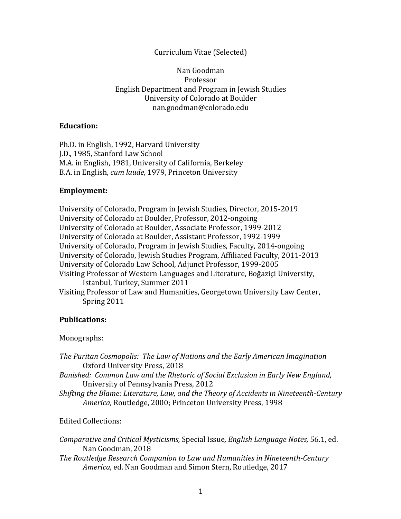### Curriculum Vitae (Selected)

Nan Goodman Professor English Department and Program in Jewish Studies University of Colorado at Boulder nan.goodman@colorado.edu

### **Education:**

Ph.D. in English, 1992, Harvard University J.D., 1985, Stanford Law School M.A. in English, 1981, University of California, Berkeley B.A. in English, *cum laude*, 1979, Princeton University

#### **Employment:**

University of Colorado, Program in Jewish Studies, Director, 2015-2019 University of Colorado at Boulder, Professor, 2012-ongoing University of Colorado at Boulder, Associate Professor, 1999-2012 University of Colorado at Boulder, Assistant Professor, 1992-1999 University of Colorado, Program in Jewish Studies, Faculty, 2014-ongoing University of Colorado, Jewish Studies Program, Affiliated Faculty, 2011-2013 University of Colorado Law School, Adjunct Professor, 1999-2005 Visiting Professor of Western Languages and Literature, Boğaziçi University, Istanbul, Turkey, Summer 2011 Visiting Professor of Law and Humanities, Georgetown University Law Center, Spring 2011

#### **Publications:**

#### Monographs:

*The Puritan Cosmopolis: The Law of Nations and the Early American Imagination* Oxford University Press, 2018

*Banished: Common Law and the Rhetoric of Social Exclusion in Early New England,* University of Pennsylvania Press, 2012

*Shifting the Blame: Literature, Law, and the Theory of Accidents in Nineteenth-Century* America, Routledge, 2000; Princeton University Press, 1998

#### Edited Collections:

*Comparative and Critical Mysticisms, Special Issue, English Language Notes, 56.1, ed.* Nan Goodman, 2018 **The Routledge Research Companion to Law and Humanities in Nineteenth-Century** *America*, ed. Nan Goodman and Simon Stern, Routledge, 2017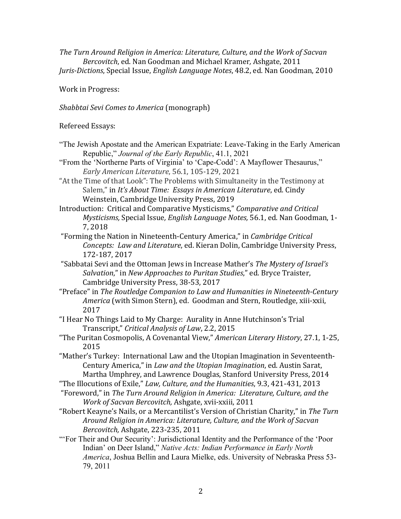*The Turn Around Religion in America: Literature, Culture, and the Work of Sacvan Bercovitch*, ed. Nan Goodman and Michael Kramer*,* Ashgate, 2011 *Juris-Dictions, Special Issue, English Language Notes, 48.2, ed. Nan Goodman, 2010* 

Work in Progress:

*Shabbtai Sevi Comes to America* (monograph)

Refereed Essays:

"The Jewish Apostate and the American Expatriate: Leave-Taking in the Early American Republic," *Journal of the Early Republic*, 41.1, 2021

"From the 'Northerne Parts of Virginia' to 'Cape-Codd': A Mayflower Thesaurus," *Early American Literature*, 56.1, 105-129, 2021

"At the Time of that Look": The Problems with Simultaneity in the Testimony at Salem," in *It's About Time: Essays in American Literature*, ed. Cindy Weinstein, Cambridge University Press, 2019

Introduction: Critical and Comparative Mysticisms," Comparative and Critical *Mysticisms, Special Issue, English Language Notes, 56.1, ed. Nan Goodman, 1-*7, 2018

- "Forming the Nation in Nineteenth-Century America," in *Cambridge Critical Concepts: Law and Literature*, ed. Kieran Dolin, Cambridge University Press. 172-187, 2017
- "Sabbatai Sevi and the Ottoman Jews in Increase Mather's *The Mystery of Israel's Salvation*," in *New Approaches to Puritan Studies*," ed. Bryce Traister, Cambridge University Press, 38-53, 2017
- "Preface" in *The Routledge Companion to Law and Humanities in Nineteenth-Century* America (with Simon Stern), ed. Goodman and Stern, Routledge, xiii-xxii, 2017
- "I Hear No Things Laid to My Charge: Aurality in Anne Hutchinson's Trial Transcript," *Critical Analysis of Law*, 2.2, 2015

"The Puritan Cosmopolis, A Covenantal View," *American Literary History*, 27.1, 1-25, 2015

"Mather's Turkey: International Law and the Utopian Imagination in Seventeenth-Century America," in *Law and the Utopian Imagination*, ed. Austin Sarat, Martha Umphrey, and Lawrence Douglas, Stanford University Press, 2014

- "The Illocutions of Exile," *Law, Culture, and the Humanities*, 9.3, 421-431, 2013
- "Foreword," in *The Turn Around Religion in America: Literature, Culture, and the Work of Sacvan Bercovitch, Ashgate, xvii-xxiii, 2011*
- "Robert Keayne's Nails, or a Mercantilist's Version of Christian Charity," in The Turn Around Religion in America: Literature, Culture, and the Work of Sacvan *Bercovitch,* Ashgate, 223-235, 2011
- "'For Their and Our Security': Jurisdictional Identity and the Performance of the 'Poor Indian' on Deer Island," *Native Acts: Indian Performance in Early North America*, Joshua Bellin and Laura Mielke, eds. University of Nebraska Press 53- 79, 2011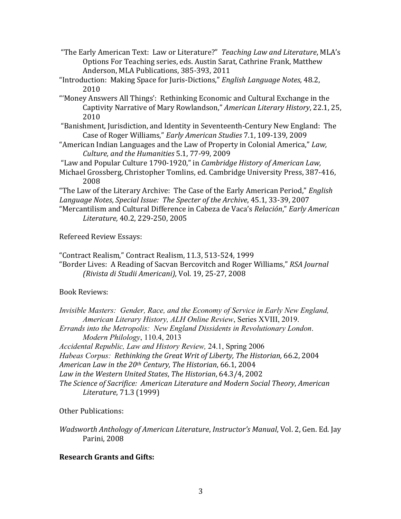- "The Early American Text: Law or Literature?" Teaching Law and Literature, MLA's Options For Teaching series, eds. Austin Sarat, Cathrine Frank, Matthew Anderson, MLA Publications, 385-393, 2011
- "Introduction: Making Space for Juris-Dictions," *English Language Notes*, 48.2, 2010
- "'Money Answers All Things': Rethinking Economic and Cultural Exchange in the Captivity Narrative of Mary Rowlandson," American Literary History, 22.1, 25, 2010
- "Banishment, Jurisdiction, and Identity in Seventeenth-Century New England: The Case of Roger Williams," *Early American Studies* 7.1, 109-139, 2009
- "American Indian Languages and the Law of Property in Colonial America," Law, *Culture, and the Humanities* 5.1, 77-99, 2009
- "Law and Popular Culture 1790-1920," in *Cambridge History of American Law*,
- Michael Grossberg, Christopher Tomlins, ed. Cambridge University Press, 387-416, 2008

"The Law of the Literary Archive: The Case of the Early American Period," *English Language Notes*, *Special Issue: The Specter of the Archive*, 45.1, 33-39, 2007

"Mercantilism and Cultural Difference in Cabeza de Vaca's *Relación*," *Early American Literature,* 40.2, 229-250, 2005

Refereed Review Essays:

"Contract Realism," Contract Realism, 11.3, 513-524, 1999

"Border Lives: A Reading of Sacvan Bercovitch and Roger Williams," *RSA Journal (Rivista di Studii Americani)*, Vol. 19, 25-27, 2008

Book Reviews:

*Invisible Masters: Gender, Race, and the Economy of Service in Early New England, American Literary History, ALH Online Review*, Series XVIII, 2019. *Errands into the Metropolis: New England Dissidents in Revolutionary London*. *Modern Philology*, 110.4, 2013 *Accidental Republic, Law and History Review,* 24.1, Spring 2006 *Habeas Corpus:* Rethinking the Great Writ of Liberty, The Historian, 66.2, 2004 *American Law in the 20th Century, The Historian*, 66.1, 2004 Law in the Western United States, The Historian, 64.3/4, 2002 *The Science of Sacrifice: American Literature and Modern Social Theory*, *American Literature*, 71.3 (1999)

Other Publications:

*Wadsworth Anthology of American Literature, Instructor's Manual, Vol. 2, Gen. Ed. Jay* Parini, 2008

# **Research Grants and Gifts:**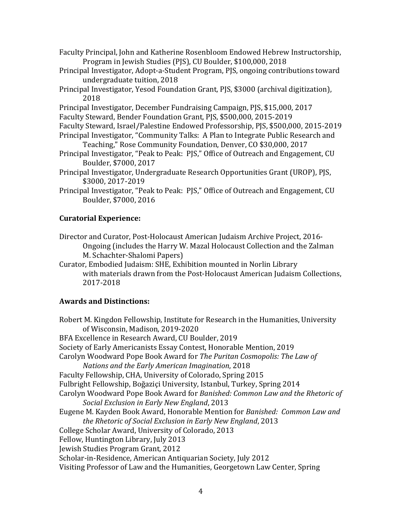Faculty Principal, John and Katherine Rosenbloom Endowed Hebrew Instructorship, Program in Jewish Studies (PJS), CU Boulder, \$100,000, 2018

- Principal Investigator, Adopt-a-Student Program, PJS, ongoing contributions toward undergraduate tuition, 2018
- Principal Investigator, Yesod Foundation Grant, PJS, \$3000 (archival digitization), 2018

Principal Investigator, December Fundraising Campaign, PJS, \$15,000, 2017 Faculty Steward, Bender Foundation Grant, PJS, \$500,000, 2015-2019

- Faculty Steward, Israel/Palestine Endowed Professorship, PJS, \$500,000, 2015-2019
- Principal Investigator, "Community Talks: A Plan to Integrate Public Research and Teaching," Rose Community Foundation, Denver, CO \$30,000, 2017
- Principal Investigator, "Peak to Peak: PJS," Office of Outreach and Engagement, CU Boulder, \$7000, 2017
- Principal Investigator, Undergraduate Research Opportunities Grant (UROP), PJS, \$3000, 2017-2019
- Principal Investigator, "Peak to Peak: PJS," Office of Outreach and Engagement, CU Boulder, \$7000, 2016

# **Curatorial Experience:**

- Director and Curator, Post-Holocaust American Judaism Archive Project, 2016-Ongoing (includes the Harry W. Mazal Holocaust Collection and the Zalman M. Schachter-Shalomi Papers)
- Curator, Embodied Judaism: SHE, Exhibition mounted in Norlin Library with materials drawn from the Post-Holocaust American Judaism Collections, 2017-2018

# **Awards and Distinctions:**

Robert M. Kingdon Fellowship, Institute for Research in the Humanities, University of Wisconsin, Madison, 2019-2020 BFA Excellence in Research Award, CU Boulder, 2019 Society of Early Americanists Essay Contest, Honorable Mention, 2019 Carolyn Woodward Pope Book Award for *The Puritan Cosmopolis: The Law of Nations and the Early American Imagination*, 2018 Faculty Fellowship, CHA, University of Colorado, Spring 2015 Fulbright Fellowship, Boğaziçi University, Istanbul, Turkey, Spring 2014 Carolyn Woodward Pope Book Award for *Banished: Common Law and the Rhetoric of Social Exclusion in Early New England*, 2013 Eugene M. Kayden Book Award, Honorable Mention for *Banished: Common Law and the Rhetoric of Social Exclusion in Early New England, 2013* College Scholar Award, University of Colorado, 2013 Fellow, Huntington Library, July 2013 Jewish Studies Program Grant, 2012 Scholar-in-Residence, American Antiquarian Society, July 2012 Visiting Professor of Law and the Humanities, Georgetown Law Center, Spring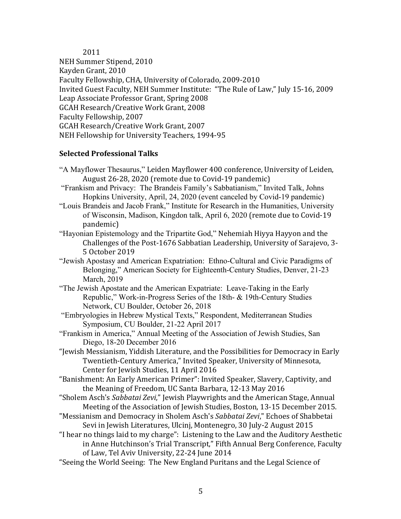2011

NEH Summer Stipend, 2010 Kayden Grant, 2010 Faculty Fellowship, CHA, University of Colorado, 2009-2010 Invited Guest Faculty, NEH Summer Institute: "The Rule of Law," July 15-16, 2009 Leap Associate Professor Grant, Spring 2008 GCAH Research/Creative Work Grant, 2008 Faculty Fellowship, 2007 GCAH Research/Creative Work Grant, 2007 NEH Fellowship for University Teachers, 1994-95

# **Selected Professional Talks**

- "A Mayflower Thesaurus," Leiden Mayflower 400 conference, University of Leiden, August 26-28, 2020 (remote due to Covid-19 pandemic)
- "Frankism and Privacy: The Brandeis Family's Sabbatianism," Invited Talk, Johns Hopkins University, April, 24, 2020 (event canceled by Covid-19 pandemic)
- "Louis Brandeis and Jacob Frank," Institute for Research in the Humanities, University of Wisconsin, Madison, Kingdon talk, April 6, 2020 (remote due to Covid-19 pandemic)
- "Hayonian Epistemology and the Tripartite God," Nehemiah Hiyya Hayyon and the Challenges of the Post-1676 Sabbatian Leadership, University of Sarajevo, 3-5 October 2019
- "Jewish Apostasy and American Expatriation: Ethno-Cultural and Civic Paradigms of Belonging," American Society for Eighteenth-Century Studies, Denver, 21-23 March, 2019
- "The Jewish Apostate and the American Expatriate: Leave-Taking in the Early Republic," Work-in-Progress Series of the 18th- & 19th-Century Studies Network, CU Boulder, October 26, 2018
- "Embryologies in Hebrew Mystical Texts," Respondent, Mediterranean Studies Symposium, CU Boulder, 21-22 April 2017
- "Frankism in America," Annual Meeting of the Association of Jewish Studies, San Diego, 18-20 December 2016
- "Jewish Messianism, Yiddish Literature, and the Possibilities for Democracy in Early Twentieth-Century America," Invited Speaker, University of Minnesota, Center for Jewish Studies, 11 April 2016
- "Banishment: An Early American Primer": Invited Speaker, Slavery, Captivity, and the Meaning of Freedom, UC Santa Barbara, 12-13 May 2016
- "Sholem Asch's Sabbatai Zevi," Jewish Playwrights and the American Stage, Annual Meeting of the Association of Jewish Studies, Boston, 13-15 December 2015.
- "Messianism and Democracy in Sholem Asch's Sabbatai Zevi," Echoes of Shabbetai Sevi in Jewish Literatures, Ulcinj, Montenegro, 30 July-2 August 2015
- "I hear no things laid to my charge": Listening to the Law and the Auditory Aesthetic in Anne Hutchinson's Trial Transcript," Fifth Annual Berg Conference, Faculty of Law, Tel Aviv University, 22-24 June 2014
- "Seeing the World Seeing: The New England Puritans and the Legal Science of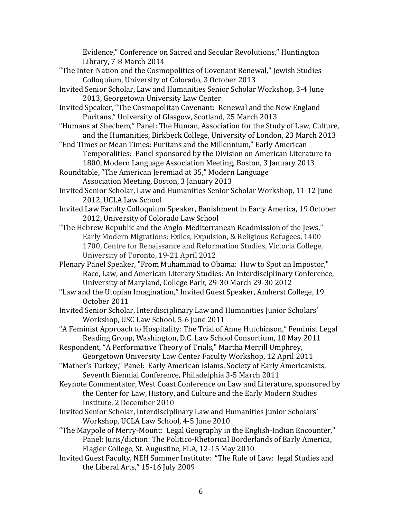Evidence," Conference on Sacred and Secular Revolutions," Huntington Library, 7-8 March 2014

- "The Inter-Nation and the Cosmopolitics of Covenant Renewal," Jewish Studies Colloquium, University of Colorado, 3 October 2013
- Invited Senior Scholar, Law and Humanities Senior Scholar Workshop, 3-4 June 2013, Georgetown University Law Center
- Invited Speaker, "The Cosmopolitan Covenant: Renewal and the New England Puritans," University of Glasgow, Scotland, 25 March 2013
- "Humans at Shechem," Panel: The Human, Association for the Study of Law, Culture, and the Humanities, Birkbeck College, University of London, 23 March 2013
- "End Times or Mean Times: Puritans and the Millennium," Early American Temporalities: Panel sponsored by the Division on American Literature to 1800, Modern Language Association Meeting, Boston, 3 January 2013
- Roundtable, "The American Jeremiad at 35," Modern Language Association Meeting, Boston, 3 January 2013
- Invited Senior Scholar, Law and Humanities Senior Scholar Workshop, 11-12 June 2012, UCLA Law School
- Invited Law Faculty Colloquium Speaker, Banishment in Early America, 19 October 2012, University of Colorado Law School
- "The Hebrew Republic and the Anglo-Mediterranean Readmission of the Jews," Early Modern Migrations: Exiles, Expulsion, & Religious Refugees, 1400– 1700, Centre for Renaissance and Reformation Studies, Victoria College, University of Toronto, 19-21 April 2012
- Plenary Panel Speaker, "From Muhammad to Obama: How to Spot an Impostor," Race, Law, and American Literary Studies: An Interdisciplinary Conference, University of Maryland, College Park, 29-30 March 29-30 2012
- "Law and the Utopian Imagination," Invited Guest Speaker, Amherst College, 19 October 2011
- Invited Senior Scholar, Interdisciplinary Law and Humanities Junior Scholars' Workshop, USC Law School, 5-6 June 2011
- "A Feminist Approach to Hospitality: The Trial of Anne Hutchinson," Feminist Legal Reading Group, Washington, D.C. Law School Consortium, 10 May 2011
- Respondent, "A Performative Theory of Trials," Martha Merrill Umphrey, Georgetown University Law Center Faculty Workshop, 12 April 2011
- "Mather's Turkey," Panel: Early American Islams, Society of Early Americanists, Seventh Biennial Conference, Philadelphia 3-5 March 2011
- Keynote Commentator, West Coast Conference on Law and Literature, sponsored by the Center for Law, History, and Culture and the Early Modern Studies Institute, 2 December 2010
- Invited Senior Scholar, Interdisciplinary Law and Humanities Junior Scholars' Workshop, UCLA Law School, 4-5 June 2010
- "The Maypole of Merry-Mount: Legal Geography in the English-Indian Encounter," Panel: Juris/diction: The Politico-Rhetorical Borderlands of Early America, Flagler College, St. Augustine, FLA, 12-15 May 2010
- Invited Guest Faculty, NEH Summer Institute: "The Rule of Law: legal Studies and the Liberal Arts," 15-16 July 2009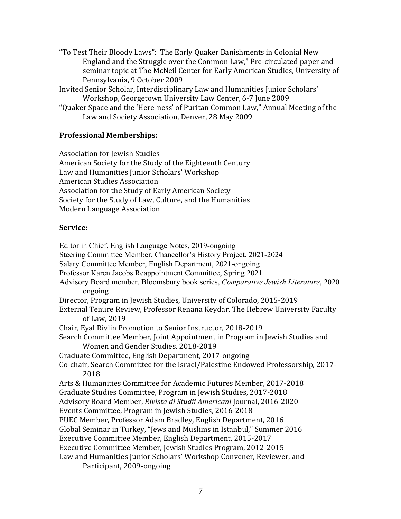"To Test Their Bloody Laws": The Early Quaker Banishments in Colonial New England and the Struggle over the Common Law," Pre-circulated paper and seminar topic at The McNeil Center for Early American Studies, University of Pennsylvania, 9 October 2009

Invited Senior Scholar, Interdisciplinary Law and Humanities Junior Scholars' Workshop, Georgetown University Law Center, 6-7 June 2009

"Quaker Space and the 'Here-ness' of Puritan Common Law," Annual Meeting of the Law and Society Association, Denver, 28 May 2009

# **Professional Memberships:**

Association for Jewish Studies American Society for the Study of the Eighteenth Century Law and Humanities Junior Scholars' Workshop American Studies Association Association for the Study of Early American Society Society for the Study of Law, Culture, and the Humanities Modern Language Association

## **Service:**

Editor in Chief, English Language Notes, 2019-ongoing Steering Committee Member, Chancellor's History Project, 2021-2024 Salary Committee Member, English Department, 2021-ongoing Professor Karen Jacobs Reappointment Committee, Spring 2021 Advisory Board member, Bloomsbury book series, *Comparative Jewish Literature*, 2020 ongoing Director, Program in Jewish Studies, University of Colorado, 2015-2019 External Tenure Review, Professor Renana Keydar, The Hebrew University Faculty of Law, 2019 Chair, Eyal Rivlin Promotion to Senior Instructor, 2018-2019 Search Committee Member, Joint Appointment in Program in Jewish Studies and Women and Gender Studies, 2018-2019 Graduate Committee, English Department, 2017-ongoing Co-chair, Search Committee for the Israel/Palestine Endowed Professorship, 2017-2018 Arts & Humanities Committee for Academic Futures Member, 2017-2018 Graduate Studies Committee, Program in Jewish Studies, 2017-2018 Advisory Board Member, *Rivista di Studii Americani* Journal, 2016-2020 Events Committee, Program in Jewish Studies, 2016-2018 PUEC Member, Professor Adam Bradley, English Department, 2016 Global Seminar in Turkey, "Jews and Muslims in Istanbul," Summer 2016 Executive Committee Member, English Department, 2015-2017 Executive Committee Member, Jewish Studies Program, 2012-2015 Law and Humanities Junior Scholars' Workshop Convener, Reviewer, and Participant, 2009-ongoing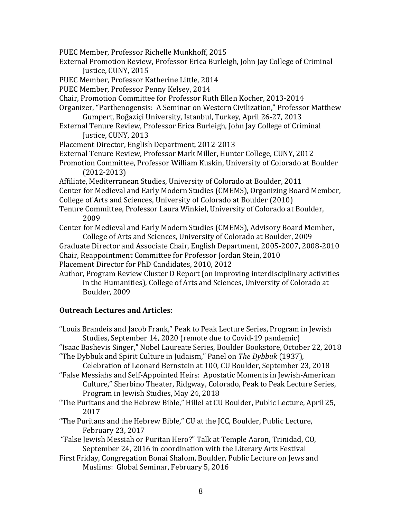- PUEC Member, Professor Richelle Munkhoff, 2015
- External Promotion Review, Professor Erica Burleigh, John Jay College of Criminal Justice, CUNY, 2015
- PUEC Member, Professor Katherine Little, 2014
- PUEC Member, Professor Penny Kelsey, 2014
- Chair, Promotion Committee for Professor Ruth Ellen Kocher, 2013-2014
- Organizer, "Parthenogensis: A Seminar on Western Civilization," Professor Matthew Gumpert, Boğaziçi University, Istanbul, Turkey, April 26-27, 2013
- External Tenure Review, Professor Erica Burleigh, John Jay College of Criminal Justice, CUNY, 2013
- Placement Director, English Department, 2012-2013
- External Tenure Review, Professor Mark Miller, Hunter College, CUNY, 2012
- Promotion Committee, Professor William Kuskin, University of Colorado at Boulder (2012-2013)
- Affiliate, Mediterranean Studies, University of Colorado at Boulder, 2011
- Center for Medieval and Early Modern Studies (CMEMS), Organizing Board Member,
- College of Arts and Sciences, University of Colorado at Boulder (2010)
- Tenure Committee, Professor Laura Winkiel, University of Colorado at Boulder, 2009
- Center for Medieval and Early Modern Studies (CMEMS), Advisory Board Member, College of Arts and Sciences, University of Colorado at Boulder, 2009
- Graduate Director and Associate Chair, English Department, 2005-2007, 2008-2010 Chair, Reappointment Committee for Professor Jordan Stein, 2010
- Placement Director for PhD Candidates, 2010, 2012
- Author, Program Review Cluster D Report (on improving interdisciplinary activities in the Humanities), College of Arts and Sciences, University of Colorado at Boulder, 2009

## **Outreach Lectures and Articles**:

- "Louis Brandeis and Jacob Frank," Peak to Peak Lecture Series, Program in Jewish Studies, September 14, 2020 (remote due to Covid-19 pandemic)
- "Isaac Bashevis Singer," Nobel Laureate Series, Boulder Bookstore, October 22, 2018 "The Dybbuk and Spirit Culture in Judaism," Panel on The Dybbuk (1937),

Celebration of Leonard Bernstein at 100, CU Boulder, September 23, 2018 "False Messiahs and Self-Appointed Heirs: Apostatic Moments in Jewish-American

- Culture," Sherbino Theater, Ridgway, Colorado, Peak to Peak Lecture Series, Program in Jewish Studies, May 24, 2018
- "The Puritans and the Hebrew Bible," Hillel at CU Boulder, Public Lecture, April 25, 2017
- "The Puritans and the Hebrew Bible," CU at the JCC, Boulder, Public Lecture, February 23, 2017
- "False Jewish Messiah or Puritan Hero?" Talk at Temple Aaron, Trinidad, CO, September 24, 2016 in coordination with the Literary Arts Festival
- First Friday, Congregation Bonai Shalom, Boulder, Public Lecture on Jews and Muslims: Global Seminar, February 5, 2016